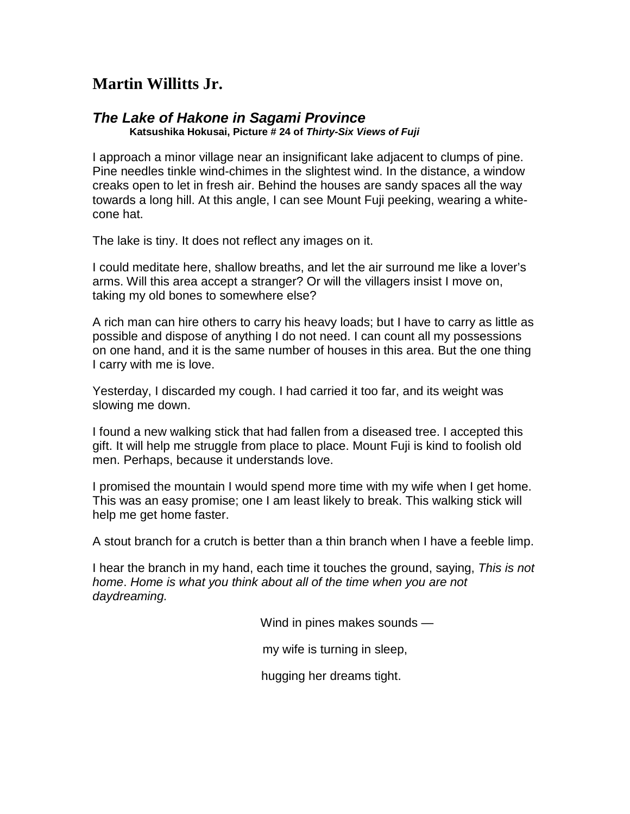## **Martin Willitts Jr.**

## *The Lake of Hakone in Sagami Province*

**Katsushika Hokusai, Picture # 24 of** *Thirty-Six Views of Fuji*

I approach a minor village near an insignificant lake adjacent to clumps of pine. Pine needles tinkle wind-chimes in the slightest wind. In the distance, a window creaks open to let in fresh air. Behind the houses are sandy spaces all the way towards a long hill. At this angle, I can see Mount Fuji peeking, wearing a whitecone hat.

The lake is tiny. It does not reflect any images on it.

I could meditate here, shallow breaths, and let the air surround me like a lover's arms. Will this area accept a stranger? Or will the villagers insist I move on, taking my old bones to somewhere else?

A rich man can hire others to carry his heavy loads; but I have to carry as little as possible and dispose of anything I do not need. I can count all my possessions on one hand, and it is the same number of houses in this area. But the one thing I carry with me is love.

Yesterday, I discarded my cough. I had carried it too far, and its weight was slowing me down.

I found a new walking stick that had fallen from a diseased tree. I accepted this gift. It will help me struggle from place to place. Mount Fuji is kind to foolish old men. Perhaps, because it understands love.

I promised the mountain I would spend more time with my wife when I get home. This was an easy promise; one I am least likely to break. This walking stick will help me get home faster.

A stout branch for a crutch is better than a thin branch when I have a feeble limp.

I hear the branch in my hand, each time it touches the ground, saying, *This is not home*. *Home is what you think about all of the time when you are not daydreaming.*

Wind in pines makes sounds —

my wife is turning in sleep,

hugging her dreams tight.